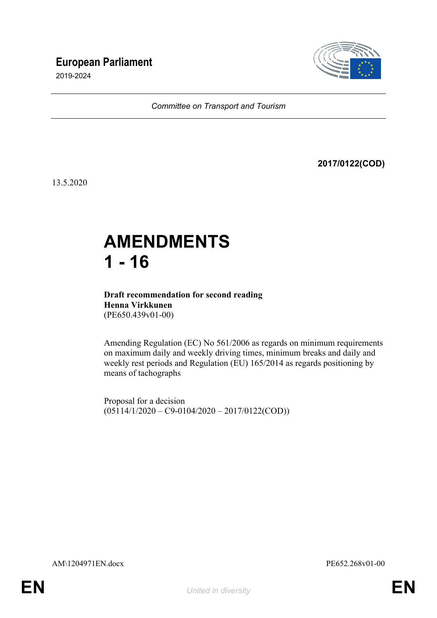# **European Parliament**

2019-2024



*Committee on Transport and Tourism*

**2017/0122(COD)**

13.5.2020

# **AMENDMENTS 1 - 16**

### **Draft recommendation for second reading Henna Virkkunen** (PE650.439v01-00)

Amending Regulation (EC) No 561/2006 as regards on minimum requirements on maximum daily and weekly driving times, minimum breaks and daily and weekly rest periods and Regulation (EU) 165/2014 as regards positioning by means of tachographs

Proposal for a decision  $(05114/1/2020 - C9 - 0104/2020 - 2017/0122(COD))$ 

AM\1204971EN.docx PE652.268v01-00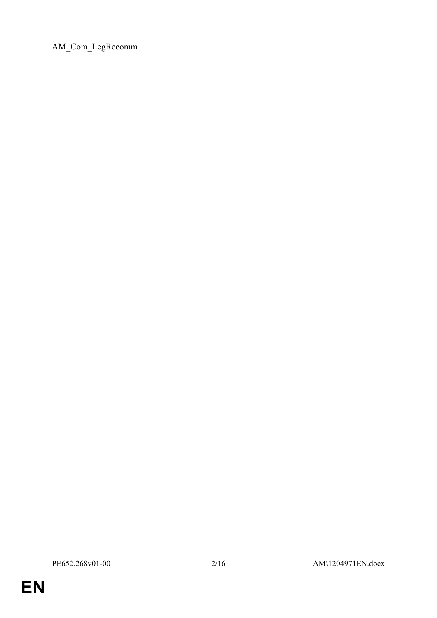AM\_Com\_LegRecomm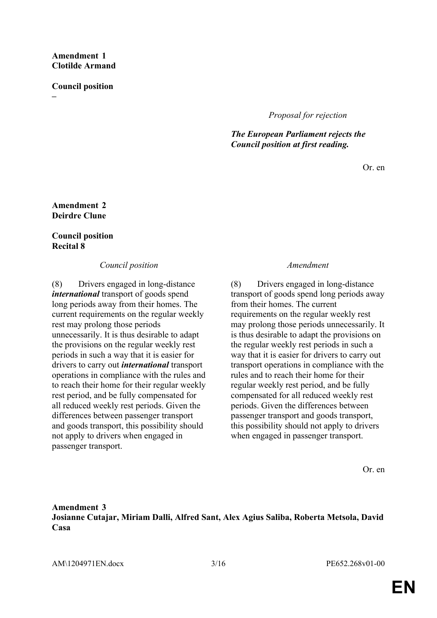#### **Amendment 1 Clotilde Armand**

**Council position**

**–**

*Proposal for rejection*

*The European Parliament rejects the Council position at first reading.*

Or. en

#### **Amendment 2 Deirdre Clune**

### **Council position Recital 8**

# *Council position Amendment*

(8) Drivers engaged in long-distance *international* transport of goods spend long periods away from their homes. The current requirements on the regular weekly rest may prolong those periods unnecessarily. It is thus desirable to adapt the provisions on the regular weekly rest periods in such a way that it is easier for drivers to carry out *international* transport operations in compliance with the rules and to reach their home for their regular weekly rest period, and be fully compensated for all reduced weekly rest periods. Given the differences between passenger transport and goods transport, this possibility should not apply to drivers when engaged in passenger transport.

(8) Drivers engaged in long-distance transport of goods spend long periods away from their homes. The current requirements on the regular weekly rest may prolong those periods unnecessarily. It is thus desirable to adapt the provisions on the regular weekly rest periods in such a way that it is easier for drivers to carry out transport operations in compliance with the rules and to reach their home for their regular weekly rest period, and be fully compensated for all reduced weekly rest periods. Given the differences between passenger transport and goods transport, this possibility should not apply to drivers when engaged in passenger transport.

Or. en

### **Amendment 3 Josianne Cutajar, Miriam Dalli, Alfred Sant, Alex Agius Saliba, Roberta Metsola, David Casa**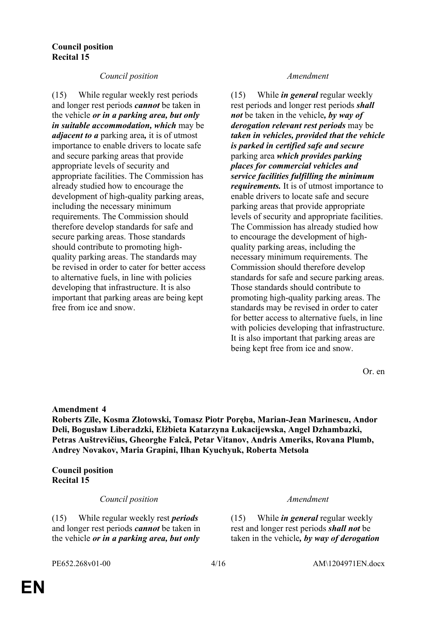### **Council position Recital 15**

### *Council position Amendment*

(15) While regular weekly rest periods and longer rest periods *cannot* be taken in the vehicle *or in a parking area, but only in suitable accommodation, which* may be *adjacent to a* parking area*,* it is of utmost importance to enable drivers to locate safe and secure parking areas that provide appropriate levels of security and appropriate facilities. The Commission has already studied how to encourage the development of high-quality parking areas, including the necessary minimum requirements. The Commission should therefore develop standards for safe and secure parking areas. Those standards should contribute to promoting highquality parking areas. The standards may be revised in order to cater for better access to alternative fuels, in line with policies developing that infrastructure. It is also important that parking areas are being kept free from ice and snow.

(15) While *in general* regular weekly rest periods and longer rest periods *shall not* be taken in the vehicle*, by way of derogation relevant rest periods* may be *taken in vehicles, provided that the vehicle is parked in certified safe and secure* parking area *which provides parking places for commercial vehicles and service facilities fulfilling the minimum requirements.* It is of utmost importance to enable drivers to locate safe and secure parking areas that provide appropriate levels of security and appropriate facilities. The Commission has already studied how to encourage the development of highquality parking areas, including the necessary minimum requirements. The Commission should therefore develop standards for safe and secure parking areas. Those standards should contribute to promoting high-quality parking areas. The standards may be revised in order to cater for better access to alternative fuels, in line with policies developing that infrastructure. It is also important that parking areas are being kept free from ice and snow.

Or. en

### **Amendment 4**

**Roberts Zīle, Kosma Złotowski, Tomasz Piotr Poręba, Marian-Jean Marinescu, Andor Deli, Bogusław Liberadzki, Elżbieta Katarzyna Łukacijewska, Angel Dzhambazki, Petras Auštrevičius, Gheorghe Falcă, Petar Vitanov, Andris Ameriks, Rovana Plumb, Andrey Novakov, Maria Grapini, Ilhan Kyuchyuk, Roberta Metsola**

**Council position Recital 15**

*Council position Amendment*

(15) While regular weekly rest *periods* and longer rest periods *cannot* be taken in the vehicle *or in a parking area, but only* 

(15) While *in general* regular weekly rest and longer rest periods *shall not* be taken in the vehicle*, by way of derogation*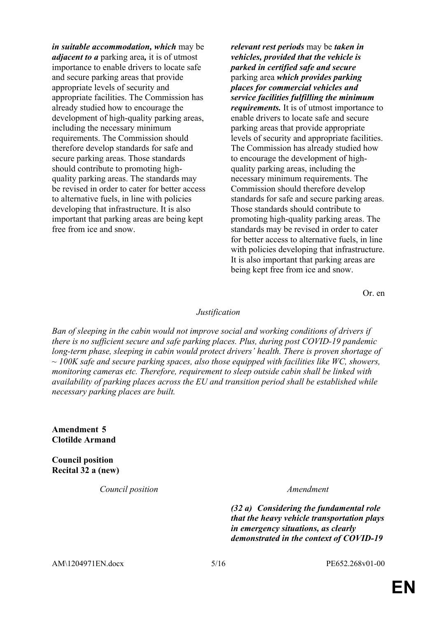*in suitable accommodation, which* may be *adjacent to a* parking area*,* it is of utmost importance to enable drivers to locate safe and secure parking areas that provide appropriate levels of security and appropriate facilities. The Commission has already studied how to encourage the development of high-quality parking areas, including the necessary minimum requirements. The Commission should therefore develop standards for safe and secure parking areas. Those standards should contribute to promoting highquality parking areas. The standards may be revised in order to cater for better access to alternative fuels, in line with policies developing that infrastructure. It is also important that parking areas are being kept free from ice and snow.

*relevant rest periods* may be *taken in vehicles, provided that the vehicle is parked in certified safe and secure* parking area *which provides parking places for commercial vehicles and service facilities fulfilling the minimum requirements.* It is of utmost importance to enable drivers to locate safe and secure parking areas that provide appropriate levels of security and appropriate facilities. The Commission has already studied how to encourage the development of highquality parking areas, including the necessary minimum requirements. The Commission should therefore develop standards for safe and secure parking areas. Those standards should contribute to promoting high-quality parking areas. The standards may be revised in order to cater for better access to alternative fuels, in line with policies developing that infrastructure. It is also important that parking areas are being kept free from ice and snow.

Or. en

#### *Justification*

*Ban of sleeping in the cabin would not improve social and working conditions of drivers if there is no sufficient secure and safe parking places. Plus, during post COVID-19 pandemic long-term phase, sleeping in cabin would protect drivers' health. There is proven shortage of ~ 100K safe and secure parking spaces, also those equipped with facilities like WC, showers, monitoring cameras etc. Therefore, requirement to sleep outside cabin shall be linked with availability of parking places across the EU and transition period shall be established while necessary parking places are built.*

**Amendment 5 Clotilde Armand**

**Council position Recital 32 a (new)**

*Council position Amendment*

*(32 a) Considering the fundamental role that the heavy vehicle transportation plays in emergency situations, as clearly demonstrated in the context of COVID-19* 

AM\1204971EN.docx 5/16 PE652.268v01-00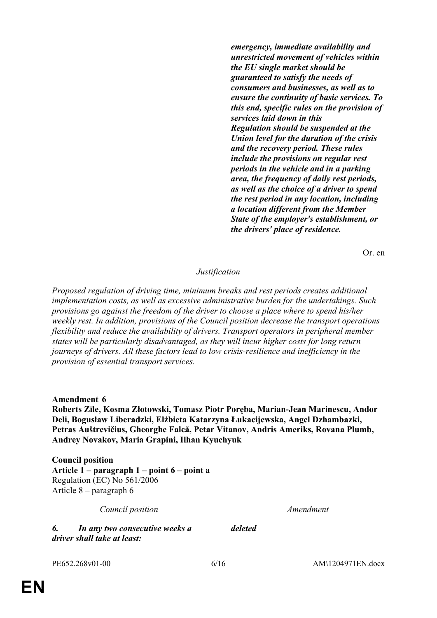*emergency, immediate availability and unrestricted movement of vehicles within the EU single market should be guaranteed to satisfy the needs of consumers and businesses, as well as to ensure the continuity of basic services. To this end, specific rules on the provision of services laid down in this Regulation should be suspended at the Union level for the duration of the crisis and the recovery period. These rules include the provisions on regular rest periods in the vehicle and in a parking area, the frequency of daily rest periods, as well as the choice of a driver to spend the rest period in any location, including a location different from the Member State of the employer's establishment, or the drivers' place of residence.*

Or. en

### *Justification*

*Proposed regulation of driving time, minimum breaks and rest periods creates additional implementation costs, as well as excessive administrative burden for the undertakings. Such provisions go against the freedom of the driver to choose a place where to spend his/her weekly rest. In addition, provisions of the Council position decrease the transport operations flexibility and reduce the availability of drivers. Transport operators in peripheral member states will be particularly disadvantaged, as they will incur higher costs for long return journeys of drivers. All these factors lead to low crisis-resilience and inefficiency in the provision of essential transport services.*

**Amendment 6**

**Roberts Zīle, Kosma Złotowski, Tomasz Piotr Poręba, Marian-Jean Marinescu, Andor Deli, Bogusław Liberadzki, Elżbieta Katarzyna Łukacijewska, Angel Dzhambazki, Petras Auštrevičius, Gheorghe Falcă, Petar Vitanov, Andris Ameriks, Rovana Plumb, Andrey Novakov, Maria Grapini, Ilhan Kyuchyuk**

**Council position Article 1 – paragraph 1 – point 6 – point a** Regulation (EC) No 561/2006 Article 8 – paragraph 6

*Council position Amendment*

*6. In any two consecutive weeks a driver shall take at least:*

*deleted*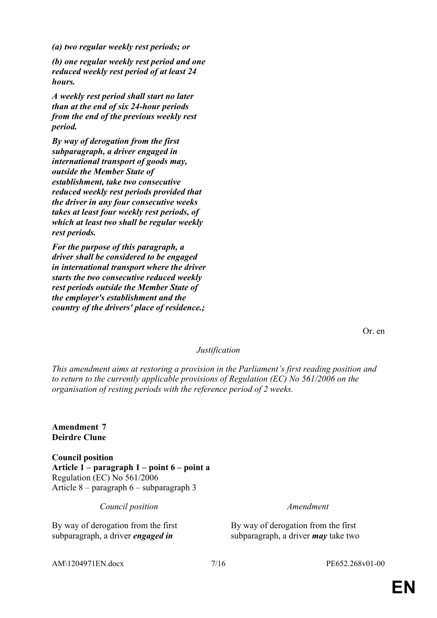*(a) two regular weekly rest periods; or*

*(b) one regular weekly rest period and one reduced weekly rest period of at least 24 hours.*

*A weekly rest period shall start no later than at the end of six 24-hour periods from the end of the previous weekly rest period.*

*By way of derogation from the first subparagraph, a driver engaged in international transport of goods may, outside the Member State of establishment, take two consecutive reduced weekly rest periods provided that the driver in any four consecutive weeks takes at least four weekly rest periods, of which at least two shall be regular weekly rest periods.*

*For the purpose of this paragraph, a driver shall be considered to be engaged in international transport where the driver starts the two consecutive reduced weekly rest periods outside the Member State of the employer's establishment and the country of the drivers' place of residence.;*

Or. en

#### *Justification*

*This amendment aims at restoring a provision in the Parliament's first reading position and to return to the currently applicable provisions of Regulation (EC) No 561/2006 on the organisation of resting periods with the reference period of 2 weeks.*

### **Amendment 7 Deirdre Clune**

**Council position Article 1 – paragraph 1 – point 6 – point a** Regulation (EC) No 561/2006 Article 8 – paragraph 6 – subparagraph 3

*Council position Amendment*

By way of derogation from the first subparagraph, a driver *engaged in* 

By way of derogation from the first subparagraph, a driver *may* take two

AM\1204971EN.docx 7/16 PE652.268v01-00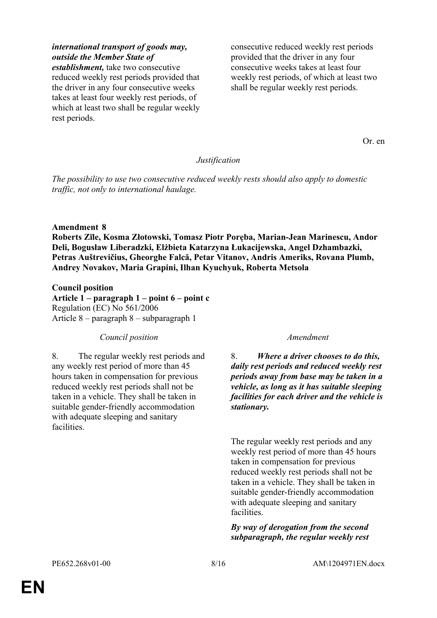#### *international transport of goods may, outside the Member State of*

*establishment,* take two consecutive reduced weekly rest periods provided that the driver in any four consecutive weeks takes at least four weekly rest periods, of which at least two shall be regular weekly rest periods.

consecutive reduced weekly rest periods provided that the driver in any four consecutive weeks takes at least four weekly rest periods, of which at least two shall be regular weekly rest periods.

Or. en

### *Justification*

*The possibility to use two consecutive reduced weekly rests should also apply to domestic traffic, not only to international haulage.*

### **Amendment 8**

**Roberts Zīle, Kosma Złotowski, Tomasz Piotr Poręba, Marian-Jean Marinescu, Andor Deli, Bogusław Liberadzki, Elżbieta Katarzyna Łukacijewska, Angel Dzhambazki, Petras Auštrevičius, Gheorghe Falcă, Petar Vitanov, Andris Ameriks, Rovana Plumb, Andrey Novakov, Maria Grapini, Ilhan Kyuchyuk, Roberta Metsola**

#### **Council position**

**Article 1 – paragraph 1 – point 6 – point c** Regulation (EC) No 561/2006 Article 8 – paragraph 8 – subparagraph 1

### *Council position Amendment*

8. The regular weekly rest periods and any weekly rest period of more than 45 hours taken in compensation for previous reduced weekly rest periods shall not be taken in a vehicle. They shall be taken in suitable gender-friendly accommodation with adequate sleeping and sanitary facilities.

8. *Where a driver chooses to do this, daily rest periods and reduced weekly rest periods away from base may be taken in a vehicle, as long as it has suitable sleeping facilities for each driver and the vehicle is stationary.*

The regular weekly rest periods and any weekly rest period of more than 45 hours taken in compensation for previous reduced weekly rest periods shall not be taken in a vehicle. They shall be taken in suitable gender-friendly accommodation with adequate sleeping and sanitary facilities.

*By way of derogation from the second subparagraph, the regular weekly rest*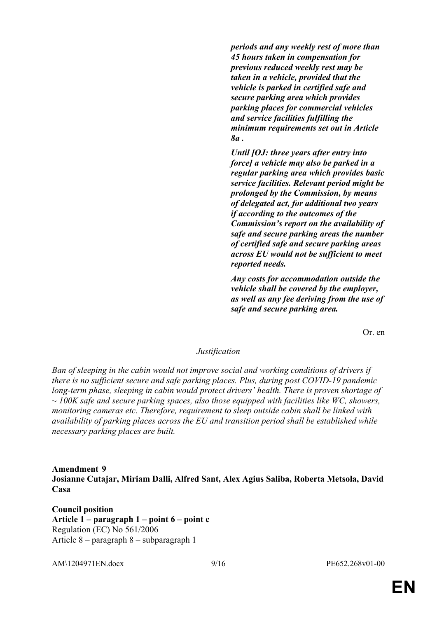*periods and any weekly rest of more than 45 hours taken in compensation for previous reduced weekly rest may be taken in a vehicle, provided that the vehicle is parked in certified safe and secure parking area which provides parking places for commercial vehicles and service facilities fulfilling the minimum requirements set out in Article 8a .*

*Until [OJ: three years after entry into force] a vehicle may also be parked in a regular parking area which provides basic service facilities. Relevant period might be prolonged by the Commission, by means of delegated act, for additional two years if according to the outcomes of the Commission's report on the availability of safe and secure parking areas the number of certified safe and secure parking areas across EU would not be sufficient to meet reported needs.*

*Any costs for accommodation outside the vehicle shall be covered by the employer, as well as any fee deriving from the use of safe and secure parking area.*

Or. en

#### *Justification*

*Ban of sleeping in the cabin would not improve social and working conditions of drivers if there is no sufficient secure and safe parking places. Plus, during post COVID-19 pandemic long-term phase, sleeping in cabin would protect drivers' health. There is proven shortage of ~ 100K safe and secure parking spaces, also those equipped with facilities like WC, showers, monitoring cameras etc. Therefore, requirement to sleep outside cabin shall be linked with availability of parking places across the EU and transition period shall be established while necessary parking places are built.*

**Amendment 9 Josianne Cutajar, Miriam Dalli, Alfred Sant, Alex Agius Saliba, Roberta Metsola, David Casa**

**Council position Article 1 – paragraph 1 – point 6 – point c** Regulation (EC) No 561/2006 Article 8 – paragraph 8 – subparagraph 1

AM\1204971EN.docx 9/16 PE652.268v01-00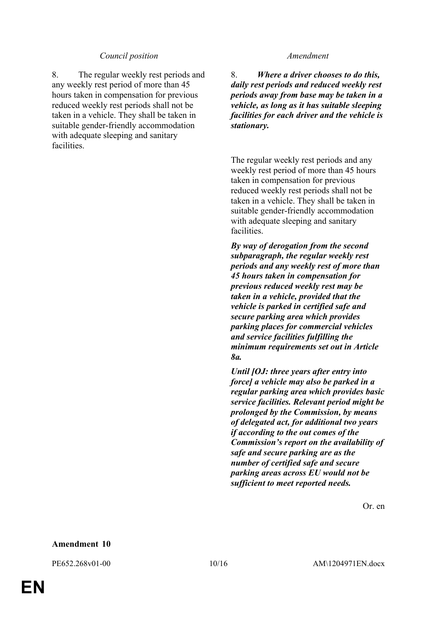### *Council position Amendment*

8. The regular weekly rest periods and any weekly rest period of more than 45 hours taken in compensation for previous reduced weekly rest periods shall not be taken in a vehicle. They shall be taken in suitable gender-friendly accommodation with adequate sleeping and sanitary facilities.

8. *Where a driver chooses to do this, daily rest periods and reduced weekly rest periods away from base may be taken in a vehicle, as long as it has suitable sleeping facilities for each driver and the vehicle is stationary.*

The regular weekly rest periods and any weekly rest period of more than 45 hours taken in compensation for previous reduced weekly rest periods shall not be taken in a vehicle. They shall be taken in suitable gender-friendly accommodation with adequate sleeping and sanitary facilities.

*By way of derogation from the second subparagraph, the regular weekly rest periods and any weekly rest of more than 45 hours taken in compensation for previous reduced weekly rest may be taken in a vehicle, provided that the vehicle is parked in certified safe and secure parking area which provides parking places for commercial vehicles and service facilities fulfilling the minimum requirements set out in Article 8a.*

*Until [OJ: three years after entry into force] a vehicle may also be parked in a regular parking area which provides basic service facilities. Relevant period might be prolonged by the Commission, by means of delegated act, for additional two years if according to the out comes of the Commission's report on the availability of safe and secure parking are as the number of certified safe and secure parking areas across EU would not be sufficient to meet reported needs.*

Or. en

#### **Amendment 10**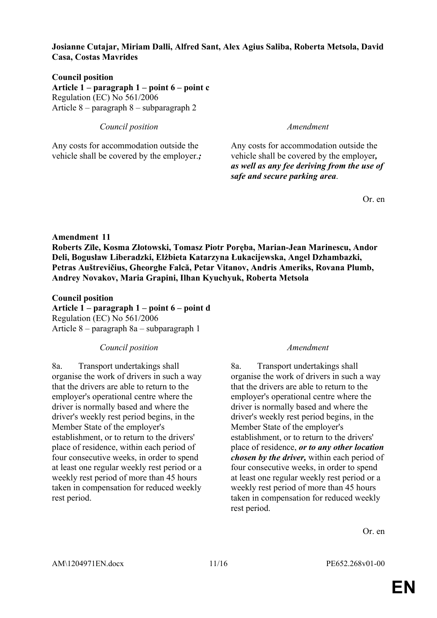### **Josianne Cutajar, Miriam Dalli, Alfred Sant, Alex Agius Saliba, Roberta Metsola, David Casa, Costas Mavrides**

**Council position Article 1 – paragraph 1 – point 6 – point c** Regulation (EC) No 561/2006 Article 8 – paragraph 8 – subparagraph 2

#### *Council position Amendment*

Any costs for accommodation outside the vehicle shall be covered by the employer.*;*

Any costs for accommodation outside the vehicle shall be covered by the employer*, as well as any fee deriving from the use of safe and secure parking area*.

Or. en

### **Amendment 11**

**Roberts Zīle, Kosma Złotowski, Tomasz Piotr Poręba, Marian-Jean Marinescu, Andor Deli, Bogusław Liberadzki, Elżbieta Katarzyna Łukacijewska, Angel Dzhambazki, Petras Auštrevičius, Gheorghe Falcă, Petar Vitanov, Andris Ameriks, Rovana Plumb, Andrey Novakov, Maria Grapini, Ilhan Kyuchyuk, Roberta Metsola**

#### **Council position**

**Article 1 – paragraph 1 – point 6 – point d** Regulation (EC) No 561/2006 Article 8 – paragraph 8a – subparagraph 1

### *Council position Amendment*

8a. Transport undertakings shall organise the work of drivers in such a way that the drivers are able to return to the employer's operational centre where the driver is normally based and where the driver's weekly rest period begins, in the Member State of the employer's establishment, or to return to the drivers' place of residence, within each period of four consecutive weeks, in order to spend at least one regular weekly rest period or a weekly rest period of more than 45 hours taken in compensation for reduced weekly rest period.

8a. Transport undertakings shall organise the work of drivers in such a way that the drivers are able to return to the employer's operational centre where the driver is normally based and where the driver's weekly rest period begins, in the Member State of the employer's establishment, or to return to the drivers' place of residence, *or to any other location chosen by the driver,* within each period of four consecutive weeks, in order to spend at least one regular weekly rest period or a weekly rest period of more than 45 hours taken in compensation for reduced weekly rest period.

Or. en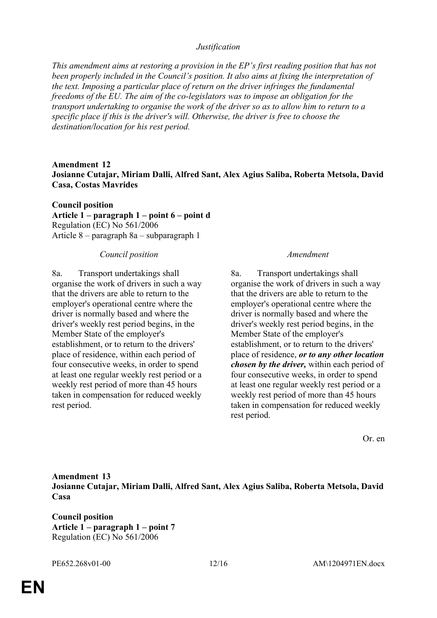### *Justification*

*This amendment aims at restoring a provision in the EP's first reading position that has not been properly included in the Council's position. It also aims at fixing the interpretation of the text. Imposing a particular place of return on the driver infringes the fundamental freedoms of the EU. The aim of the co-legislators was to impose an obligation for the transport undertaking to organise the work of the driver so as to allow him to return to a specific place if this is the driver's will. Otherwise, the driver is free to choose the destination/location for his rest period.*

# **Amendment 12 Josianne Cutajar, Miriam Dalli, Alfred Sant, Alex Agius Saliba, Roberta Metsola, David Casa, Costas Mavrides**

**Council position Article 1 – paragraph 1 – point 6 – point d** Regulation (EC) No 561/2006 Article 8 – paragraph 8a – subparagraph 1

### *Council position Amendment*

8a. Transport undertakings shall organise the work of drivers in such a way that the drivers are able to return to the employer's operational centre where the driver is normally based and where the driver's weekly rest period begins, in the Member State of the employer's establishment, or to return to the drivers' place of residence, within each period of four consecutive weeks, in order to spend at least one regular weekly rest period or a weekly rest period of more than 45 hours taken in compensation for reduced weekly rest period.

8a. Transport undertakings shall organise the work of drivers in such a way that the drivers are able to return to the employer's operational centre where the driver is normally based and where the driver's weekly rest period begins, in the Member State of the employer's establishment, or to return to the drivers' place of residence, *or to any other location chosen by the driver,* within each period of four consecutive weeks, in order to spend at least one regular weekly rest period or a weekly rest period of more than 45 hours taken in compensation for reduced weekly rest period.

Or. en

**Amendment 13 Josianne Cutajar, Miriam Dalli, Alfred Sant, Alex Agius Saliba, Roberta Metsola, David Casa**

**Council position Article 1 – paragraph 1 – point 7** Regulation (EC) No 561/2006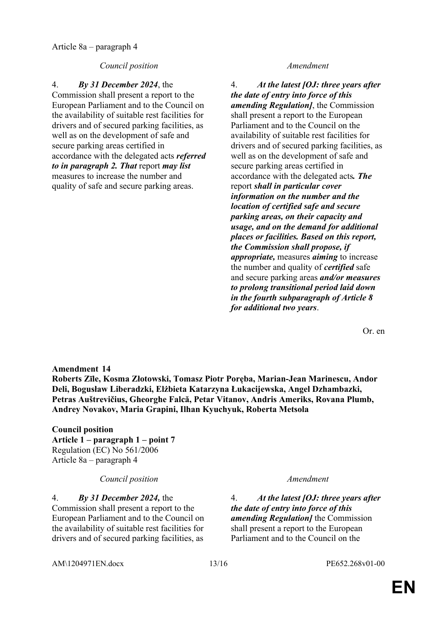# *Council position Amendment*

# 4. *By 31 December 2024*, the

Commission shall present a report to the European Parliament and to the Council on the availability of suitable rest facilities for drivers and of secured parking facilities, as well as on the development of safe and secure parking areas certified in accordance with the delegated acts *referred to in paragraph 2. That* report *may list* measures to increase the number and quality of safe and secure parking areas.

4. *At the latest [OJ: three years after the date of entry into force of this amending Regulation]*, the Commission shall present a report to the European Parliament and to the Council on the availability of suitable rest facilities for drivers and of secured parking facilities, as well as on the development of safe and secure parking areas certified in accordance with the delegated acts*. The* report *shall in particular cover information on the number and the location of certified safe and secure parking areas, on their capacity and usage, and on the demand for additional places or facilities. Based on this report, the Commission shall propose, if appropriate,* measures *aiming* to increase the number and quality of *certified* safe and secure parking areas *and/or measures to prolong transitional period laid down in the fourth subparagraph of Article 8 for additional two years*.

Or. en

### **Amendment 14**

**Roberts Zīle, Kosma Złotowski, Tomasz Piotr Poręba, Marian-Jean Marinescu, Andor Deli, Bogusław Liberadzki, Elżbieta Katarzyna Łukacijewska, Angel Dzhambazki, Petras Auštrevičius, Gheorghe Falcă, Petar Vitanov, Andris Ameriks, Rovana Plumb, Andrey Novakov, Maria Grapini, Ilhan Kyuchyuk, Roberta Metsola**

### **Council position Article 1 – paragraph 1 – point 7** Regulation (EC) No 561/2006 Article 8a – paragraph 4

*Council position Amendment*

# 4. *By 31 December 2024,* the

Commission shall present a report to the European Parliament and to the Council on the availability of suitable rest facilities for drivers and of secured parking facilities, as

4. *At the latest [OJ: three years after the date of entry into force of this amending Regulation]* the Commission shall present a report to the European Parliament and to the Council on the

AM\1204971EN.docx 13/16 PE652.268v01-00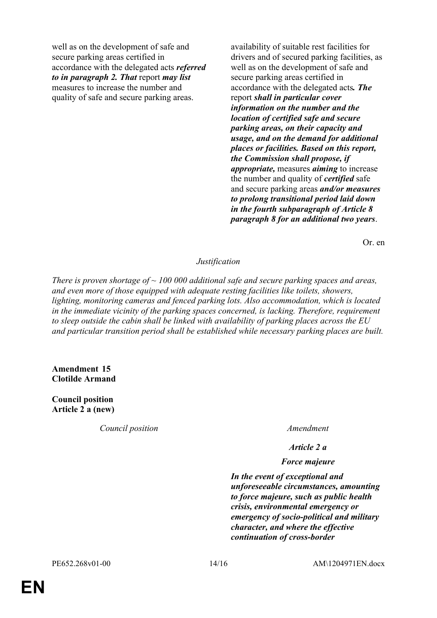well as on the development of safe and secure parking areas certified in accordance with the delegated acts *referred to in paragraph 2. That* report *may list* measures to increase the number and quality of safe and secure parking areas.

availability of suitable rest facilities for drivers and of secured parking facilities, as well as on the development of safe and secure parking areas certified in accordance with the delegated acts*. The* report *shall in particular cover information on the number and the location of certified safe and secure parking areas, on their capacity and usage, and on the demand for additional places or facilities. Based on this report, the Commission shall propose, if appropriate,* measures *aiming* to increase the number and quality of *certified* safe and secure parking areas *and/or measures to prolong transitional period laid down in the fourth subparagraph of Article 8 paragraph 8 for an additional two years*.

Or. en

#### *Justification*

*There is proven shortage of ~ 100 000 additional safe and secure parking spaces and areas, and even more of those equipped with adequate resting facilities like toilets, showers, lighting, monitoring cameras and fenced parking lots. Also accommodation, which is located in the immediate vicinity of the parking spaces concerned, is lacking. Therefore, requirement to sleep outside the cabin shall be linked with availability of parking places across the EU and particular transition period shall be established while necessary parking places are built.*

**Amendment 15 Clotilde Armand**

**Council position Article 2 a (new)**

*Council position Amendment*

*Article 2 a*

#### *Force majeure*

*In the event of exceptional and unforeseeable circumstances, amounting to force majeure, such as public health crisis, environmental emergency or emergency of socio-political and military character, and where the effective continuation of cross-border*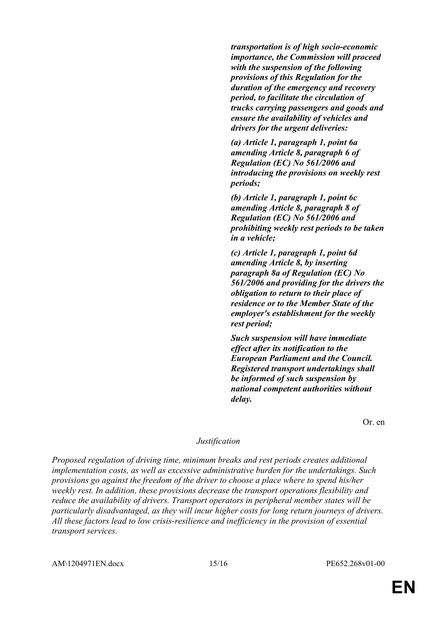*transportation is of high socio-economic importance, the Commission will proceed with the suspension of the following provisions of this Regulation for the duration of the emergency and recovery period, to facilitate the circulation of trucks carrying passengers and goods and ensure the availability of vehicles and drivers for the urgent deliveries:*

*(a) Article 1, paragraph 1, point 6a amending Article 8, paragraph 6 of Regulation (EC) No 561/2006 and introducing the provisions on weekly rest periods;*

*(b) Article 1, paragraph 1, point 6c amending Article 8, paragraph 8 of Regulation (EC) No 561/2006 and prohibiting weekly rest periods to be taken in a vehicle;*

*(c) Article 1, paragraph 1, point 6d amending Article 8, by inserting paragraph 8a of Regulation (EC) No 561/2006 and providing for the drivers the obligation to return to their place of residence or to the Member State of the employer's establishment for the weekly rest period;*

*Such suspension will have immediate effect after its notification to the European Parliament and the Council. Registered transport undertakings shall be informed of such suspension by national competent authorities without delay.*

Or. en

### *Justification*

*Proposed regulation of driving time, minimum breaks and rest periods creates additional implementation costs, as well as excessive administrative burden for the undertakings. Such provisions go against the freedom of the driver to choose a place where to spend his/her weekly rest. In addition, these provisions decrease the transport operations flexibility and reduce the availability of drivers. Transport operators in peripheral member states will be particularly disadvantaged, as they will incur higher costs for long return journeys of drivers. All these factors lead to low crisis-resilience and inefficiency in the provision of essential transport services.*

AM\1204971EN.docx 15/16 PE652.268v01-00